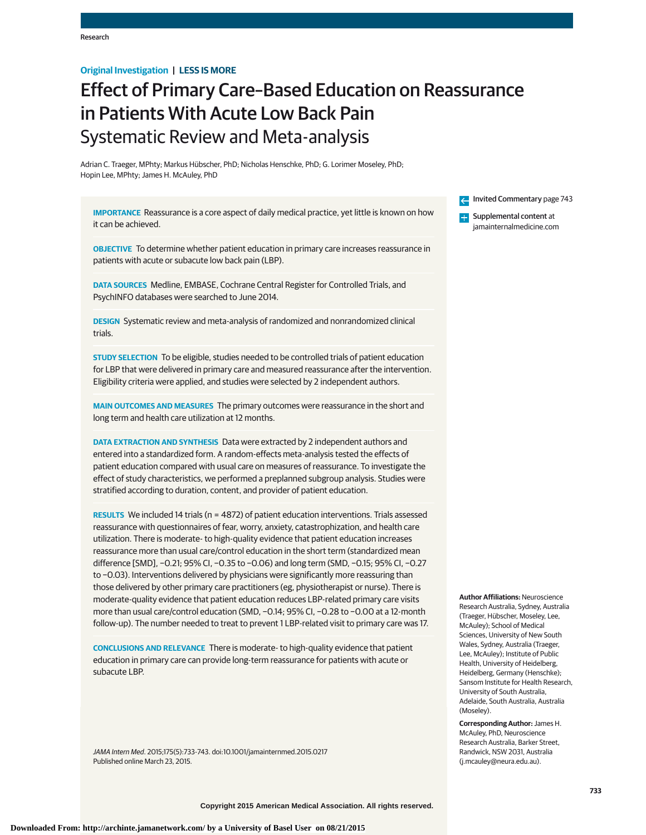## **Original Investigation | LESS IS MORE**

# Effect of Primary Care–Based Education on Reassurance in Patients With Acute Low Back Pain Systematic Review and Meta-analysis

Adrian C. Traeger, MPhty; Markus Hübscher, PhD; Nicholas Henschke, PhD; G. Lorimer Moseley, PhD; Hopin Lee, MPhty; James H. McAuley, PhD

**IMPORTANCE** Reassurance is a core aspect of daily medical practice, yet little is known on how it can be achieved.

**OBJECTIVE** To determine whether patient education in primary care increases reassurance in patients with acute or subacute low back pain (LBP).

**DATA SOURCES** Medline, EMBASE, Cochrane Central Register for Controlled Trials, and PsychINFO databases were searched to June 2014.

**DESIGN** Systematic review and meta-analysis of randomized and nonrandomized clinical trials.

**STUDY SELECTION** To be eligible, studies needed to be controlled trials of patient education for LBP that were delivered in primary care and measured reassurance after the intervention. Eligibility criteria were applied, and studies were selected by 2 independent authors.

**MAIN OUTCOMES AND MEASURES** The primary outcomes were reassurance in the short and long term and health care utilization at 12 months.

**DATA EXTRACTION AND SYNTHESIS** Data were extracted by 2 independent authors and entered into a standardized form. A random-effects meta-analysis tested the effects of patient education compared with usual care on measures of reassurance. To investigate the effect of study characteristics, we performed a preplanned subgroup analysis. Studies were stratified according to duration, content, and provider of patient education.

**RESULTS** We included 14 trials (n = 4872) of patient education interventions. Trials assessed reassurance with questionnaires of fear, worry, anxiety, catastrophization, and health care utilization. There is moderate- to high-quality evidence that patient education increases reassurance more than usual care/control education in the short term (standardized mean difference [SMD], −0.21; 95% CI, −0.35 to −0.06) and long term (SMD, −0.15; 95% CI, −0.27 to −0.03). Interventions delivered by physicians were significantly more reassuring than those delivered by other primary care practitioners (eg, physiotherapist or nurse). There is moderate-quality evidence that patient education reduces LBP-related primary care visits more than usual care/control education (SMD, −0.14; 95% CI, −0.28 to −0.00 at a 12-month follow-up). The number needed to treat to prevent 1 LBP-related visit to primary care was 17.

**CONCLUSIONS AND RELEVANCE** There is moderate- to high-quality evidence that patient education in primary care can provide long-term reassurance for patients with acute or subacute LBP.

JAMA Intern Med. 2015;175(5):733-743. doi:10.1001/jamainternmed.2015.0217 Published online March 23, 2015.

**Invited Commentary page 743** 

**Supplemental content at** jamainternalmedicine.com

**Author Affiliations:** Neuroscience Research Australia, Sydney, Australia (Traeger, Hübscher, Moseley, Lee, McAuley); School of Medical Sciences, University of New South Wales, Sydney, Australia (Traeger, Lee, McAuley); Institute of Public Health, University of Heidelberg, Heidelberg, Germany (Henschke); Sansom Institute for Health Research, University of South Australia, Adelaide, South Australia, Australia (Moseley).

**Corresponding Author:** James H. McAuley, PhD, Neuroscience Research Australia, Barker Street, Randwick, NSW 2031, Australia (j.mcauley@neura.edu.au).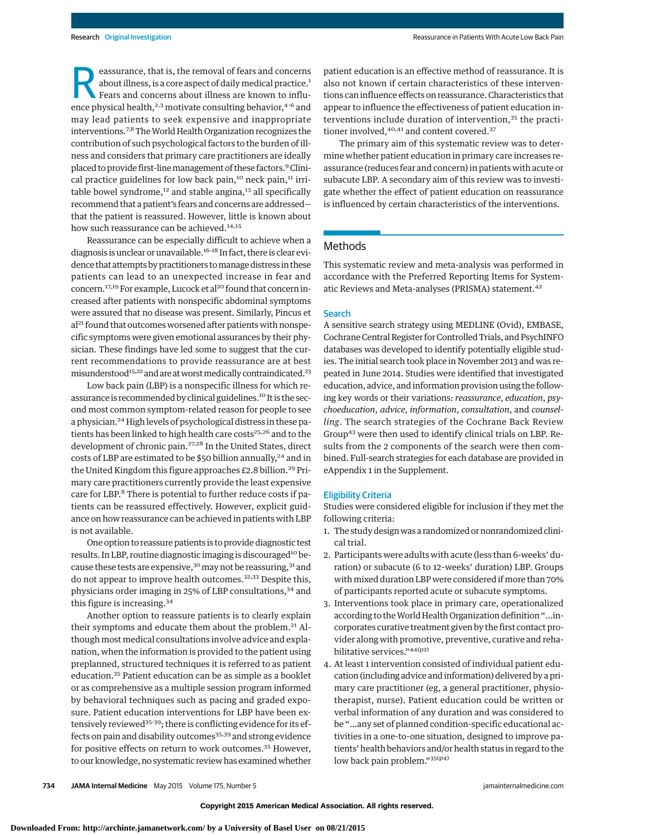Exercise about illness, is a core aspect of daily medical practice.<sup>1</sup><br>Fears and concerns about illness are known to influ-<br>ance physical boalth <sup>2,3</sup> metivate conculting behavior <sup>4-6</sup> and about illness, is a core aspect of daily medical practice.<sup>1</sup> ence physical health,<sup>2,3</sup> motivate consulting behavior,<sup>4-6</sup> and may lead patients to seek expensive and inappropriate interventions.<sup>7,8</sup>The World Health Organization recognizes the contribution of such psychological factors to the burden of illness and considers that primary care practitioners are ideally placed to provide first-line management of these factors.<sup>9</sup> Clinical practice guidelines for low back pain,<sup>10</sup> neck pain,<sup>11</sup> irritable bowel syndrome, $12$  and stable angina, $13$  all specifically recommend that a patient's fears and concerns are addressed that the patient is reassured. However, little is known about how such reassurance can be achieved.<sup>14,15</sup>

Reassurance can be especially difficult to achieve when a diagnosis is unclear or unavailable.<sup>16-18</sup> In fact, there is clear evidence that attempts by practitioners tomanage distress in these patients can lead to an unexpected increase in fear and concern.<sup>17,19</sup> For example, Lucock et al<sup>20</sup> found that concern increased after patients with nonspecific abdominal symptoms were assured that no disease was present. Similarly, Pincus et al<sup>21</sup> found that outcomes worsened after patients with nonspecific symptoms were given emotional assurances by their physician. These findings have led some to suggest that the current recommendations to provide reassurance are at best misunderstood $15,22$  and are at worst medically contraindicated.<sup>23</sup>

Low back pain (LBP) is a nonspecific illness for which reassurance is recommended by clinical guidelines.10 It is the second most common symptom-related reason for people to see a physician.<sup>24</sup> High levels of psychological distress in these patients has been linked to high health care costs<sup>25,26</sup> and to the development of chronic pain.<sup>27,28</sup> In the United States, direct costs of LBP are estimated to be \$50 billion annually,<sup>24</sup> and in the United Kingdom this figure approaches £2.8 billion.<sup>29</sup> Primary care practitioners currently provide the least expensive care for LBP.<sup>8</sup> There is potential to further reduce costs if patients can be reassured effectively. However, explicit guidance on how reassurance can be achieved in patients with LBP is not available.

One option to reassure patients is to provide diagnostic test results. In LBP, routine diagnostic imaging is discouraged<sup>10</sup> because these tests are expensive,<sup>30</sup> may not be reassuring,<sup>31</sup> and do not appear to improve health outcomes.<sup>32,33</sup> Despite this, physicians order imaging in 25% of LBP consultations,<sup>34</sup> and this figure is increasing.<sup>34</sup>

Another option to reassure patients is to clearly explain their symptoms and educate them about the problem.<sup>21</sup> Although most medical consultations involve advice and explanation, when the information is provided to the patient using preplanned, structured techniques it is referred to as patient education.<sup>35</sup> Patient education can be as simple as a booklet or as comprehensive as a multiple session program informed by behavioral techniques such as pacing and graded exposure. Patient education interventions for LBP have been extensively reviewed<sup>35-39</sup>; there is conflicting evidence for its effects on pain and disability outcomes<sup>35,39</sup> and strong evidence for positive effects on return to work outcomes.<sup>35</sup> However, to our knowledge, no systematic review has examined whether patient education is an effective method of reassurance. It is also not known if certain characteristics of these interventions can influence effects on reassurance. Characteristics that appear to influence the effectiveness of patient education interventions include duration of intervention,<sup>35</sup> the practitioner involved, 40,41 and content covered.<sup>37</sup>

The primary aim of this systematic review was to determine whether patient education in primary care increases reassurance (reduces fear and concern) in patients with acute or subacute LBP. A secondary aim of this review was to investigate whether the effect of patient education on reassurance is influenced by certain characteristics of the interventions.

## **Methods**

This systematic review and meta-analysis was performed in accordance with the Preferred Reporting Items for Systematic Reviews and Meta-analyses (PRISMA) statement.<sup>42</sup>

#### **Search**

A sensitive search strategy using MEDLINE (Ovid), EMBASE, Cochrane Central Register for Controlled Trials, and PsychINFO databases was developed to identify potentially eligible studies. The initial search took place in November 2013 and was repeated in June 2014. Studies were identified that investigated education, advice, and information provision using the following key words or their variations: *reassurance*, *education*, *psychoeducation*, *advice*, *information*, *consultation*, and *counselling*. The search strategies of the Cochrane Back Review Group43 were then used to identify clinical trials on LBP. Results from the 2 components of the search were then combined. Full-search strategies for each database are provided in eAppendix 1 in the Supplement.

#### Eligibility Criteria

Studies were considered eligible for inclusion if they met the following criteria:

- 1. The study design was a randomized or nonrandomized clinical trial.
- 2. Participants were adults with acute (less than 6-weeks' duration) or subacute (6 to 12–weeks' duration) LBP. Groups with mixed duration LBP were considered if more than 70% of participants reported acute or subacute symptoms.
- 3. Interventions took place in primary care, operationalized according to theWorld Health Organization definition "…incorporates curative treatment given by the first contact provider along with promotive, preventive, curative and rehabilitative services." 44(p2)
- 4. At least 1 intervention consisted of individual patient education (including advice and information) delivered by a primary care practitioner (eg, a general practitioner, physiotherapist, nurse). Patient education could be written or verbal information of any duration and was considered to be "…any set of planned condition-specific educational activities in a one-to-one situation, designed to improve patients' health behaviors and/or health status in regard to the low back pain problem."35(p4)

**734 JAMA Internal Medicine** May 2015 Volume 175, Number 5 **(Reprinted)** and the printed of the state of the state of the state of the state of the state of the state of the state of the state of the state of the state of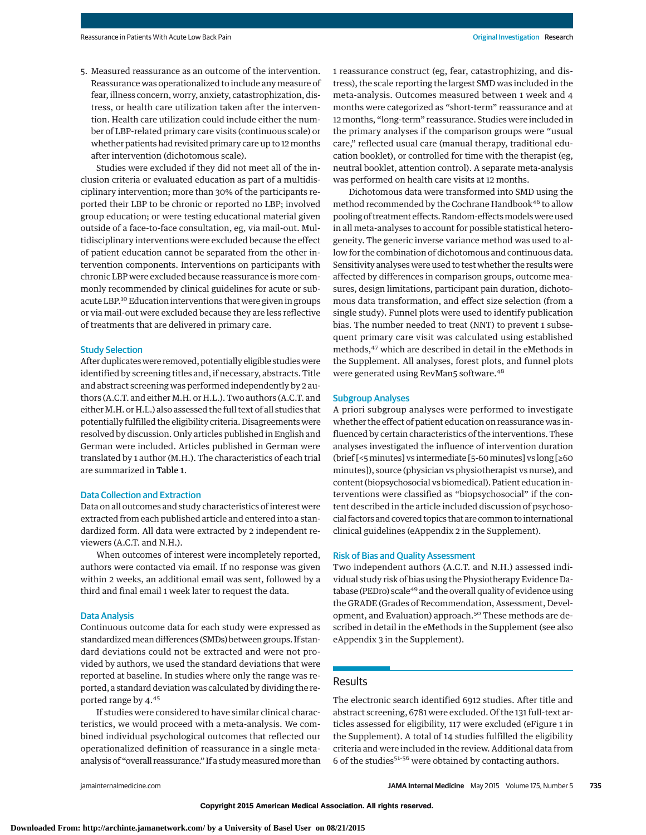5. Measured reassurance as an outcome of the intervention. Reassurance was operationalized to include any measure of fear, illness concern, worry, anxiety, catastrophization, distress, or health care utilization taken after the intervention. Health care utilization could include either the number of LBP-related primary care visits (continuous scale) or whether patients had revisited primary care up to 12 months after intervention (dichotomous scale).

Studies were excluded if they did not meet all of the inclusion criteria or evaluated education as part of a multidisciplinary intervention; more than 30% of the participants reported their LBP to be chronic or reported no LBP; involved group education; or were testing educational material given outside of a face-to-face consultation, eg, via mail-out. Multidisciplinary interventions were excluded because the effect of patient education cannot be separated from the other intervention components. Interventions on participants with chronic LBP were excluded because reassurance is more commonly recommended by clinical guidelines for acute or subacute LBP.<sup>10</sup> Education interventions that were given in groups or via mail-out were excluded because they are less reflective of treatments that are delivered in primary care.

#### Study Selection

After duplicates were removed, potentially eligible studies were identified by screening titles and, if necessary, abstracts. Title and abstract screening was performed independently by 2 authors (A.C.T. and either M.H. or H.L.). Two authors (A.C.T. and either M.H. or H.L.) also assessed the full text of all studies that potentially fulfilled the eligibility criteria. Disagreements were resolved by discussion. Only articles published in English and German were included. Articles published in German were translated by 1 author (M.H.). The characteristics of each trial are summarized in Table 1.

## Data Collection and Extraction

Data on all outcomes and study characteristics of interest were extracted from each published article and entered into a standardized form. All data were extracted by 2 independent reviewers (A.C.T. and N.H.).

When outcomes of interest were incompletely reported, authors were contacted via email. If no response was given within 2 weeks, an additional email was sent, followed by a third and final email 1 week later to request the data.

#### Data Analysis

Continuous outcome data for each study were expressed as standardized mean differences (SMDs) between groups. If standard deviations could not be extracted and were not provided by authors, we used the standard deviations that were reported at baseline. In studies where only the range was reported, a standard deviation was calculated by dividing the reported range by 4.<sup>45</sup>

If studies were considered to have similar clinical characteristics, we would proceed with a meta-analysis. We combined individual psychological outcomes that reflected our operationalized definition of reassurance in a single metaanalysis of "overall reassurance." If a study measured more than 1 reassurance construct (eg, fear, catastrophizing, and distress), the scale reporting the largest SMD was included in the meta-analysis. Outcomes measured between 1 week and 4 months were categorized as "short-term" reassurance and at 12 months, "long-term" reassurance. Studies were included in the primary analyses if the comparison groups were "usual care," reflected usual care (manual therapy, traditional education booklet), or controlled for time with the therapist (eg, neutral booklet, attention control). A separate meta-analysis was performed on health care visits at 12 months.

Dichotomous data were transformed into SMD using the method recommended by the Cochrane Handbook<sup>46</sup> to allow pooling of treatment effects.Random-effectsmodelswere used in all meta-analyses to account for possible statistical heterogeneity. The generic inverse variance method was used to allow for the combination of dichotomous and continuous data. Sensitivity analyses were used to test whether the results were affected by differences in comparison groups, outcome measures, design limitations, participant pain duration, dichotomous data transformation, and effect size selection (from a single study). Funnel plots were used to identify publication bias. The number needed to treat (NNT) to prevent 1 subsequent primary care visit was calculated using established methods,<sup>47</sup> which are described in detail in the eMethods in the Supplement. All analyses, forest plots, and funnel plots were generated using RevMan5 software.<sup>48</sup>

## Subgroup Analyses

A priori subgroup analyses were performed to investigate whether the effect of patient education on reassurance was influenced by certain characteristics of the interventions. These analyses investigated the influence of intervention duration (brief [<5minutes] vs intermediate [5-60minutes] vs long [≥60 minutes]), source (physician vs physiotherapist vs nurse), and content (biopsychosocial vs biomedical). Patient education interventions were classified as "biopsychosocial" if the content described in the article included discussion of psychosocial factors and covered topics that are common to international clinical guidelines (eAppendix 2 in the Supplement).

### Risk of Bias and Quality Assessment

Two independent authors (A.C.T. and N.H.) assessed individual study risk of bias using the Physiotherapy Evidence Database (PEDro) scale<sup>49</sup> and the overall quality of evidence using the GRADE (Grades of Recommendation, Assessment, Development, and Evaluation) approach.<sup>50</sup> These methods are described in detail in the eMethods in the Supplement (see also eAppendix 3 in the Supplement).

## Results

The electronic search identified 6912 studies. After title and abstract screening, 6781 were excluded. Of the 131 full-text articles assessed for eligibility, 117 were excluded (eFigure 1 in the Supplement). A total of 14 studies fulfilled the eligibility criteria and were included in the review. Additional data from 6 of the studies<sup>51-56</sup> were obtained by contacting authors.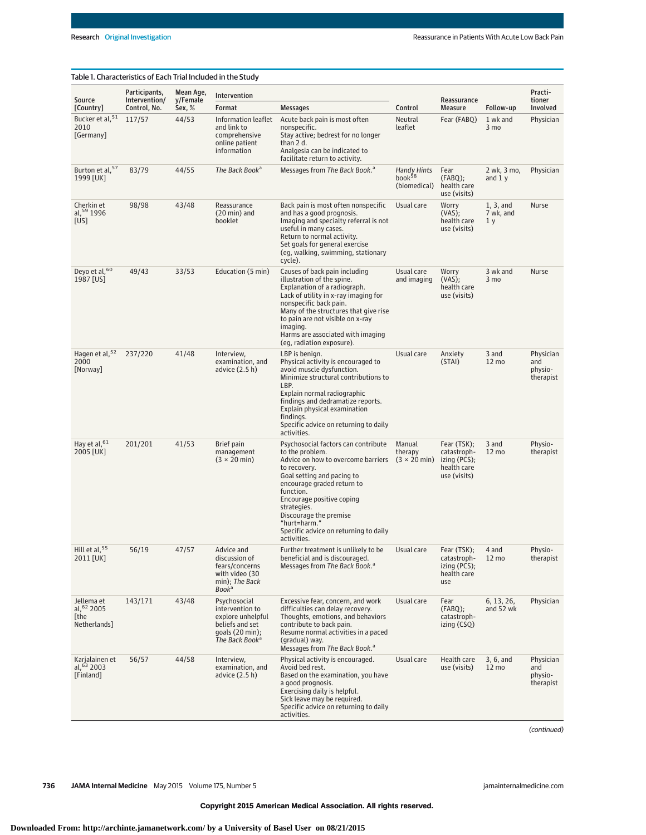| Table 1. Characteristics of Each Trial Included in the Study |                                |                       |                                                                                                                                     |                                                                                                                                                                                                                                                                                                                                                                 |                                                          |                                                                           |                                            |                                          |  |  |
|--------------------------------------------------------------|--------------------------------|-----------------------|-------------------------------------------------------------------------------------------------------------------------------------|-----------------------------------------------------------------------------------------------------------------------------------------------------------------------------------------------------------------------------------------------------------------------------------------------------------------------------------------------------------------|----------------------------------------------------------|---------------------------------------------------------------------------|--------------------------------------------|------------------------------------------|--|--|
| Source                                                       | Participants,<br>Intervention/ | Mean Age,<br>y/Female | Intervention                                                                                                                        |                                                                                                                                                                                                                                                                                                                                                                 |                                                          | Reassurance                                                               |                                            | Practi-<br>tioner                        |  |  |
| [Country]                                                    | Control, No.                   | Sex, %                | Format                                                                                                                              | <b>Messages</b>                                                                                                                                                                                                                                                                                                                                                 | Control                                                  | Measure                                                                   | Follow-up                                  | Involved                                 |  |  |
| Bucker et al, 51<br>2010<br>[Germany]                        | 117/57                         | 44/53                 | Information leaflet<br>and link to<br>comprehensive<br>online patient<br>information                                                | Acute back pain is most often<br>nonspecific.<br>Stay active; bedrest for no longer<br>than 2 d.<br>Analgesia can be indicated to<br>facilitate return to activity.                                                                                                                                                                                             | Neutral<br>leaflet                                       | Fear (FABQ)                                                               | 1 wk and<br>3 mo                           | Physician                                |  |  |
| Burton et al, <sup>57</sup><br>1999 [UK]                     | 83/79                          | 44/55                 | The Back Book <sup>a</sup>                                                                                                          | Messages from The Back Book. <sup>a</sup>                                                                                                                                                                                                                                                                                                                       | <b>Handy Hints</b><br>book <sup>58</sup><br>(biomedical) | Fear<br>(FABO):<br>health care<br>use (visits)                            | 2 wk, 3 mo,<br>and $1 y$                   | Physician                                |  |  |
| Cherkin et<br>al, 59 1996<br>[US]                            | 98/98                          | 43/48                 | Reassurance<br>$(20 \text{ min})$ and<br>booklet                                                                                    | Back pain is most often nonspecific<br>and has a good prognosis.<br>Imaging and specialty referral is not<br>useful in many cases.<br>Return to normal activity.<br>Set goals for general exercise<br>(eg, walking, swimming, stationary<br>cycle).                                                                                                             | Usual care                                               | Worry<br>(VAS);<br>health care<br>use (visits)                            | $1, 3,$ and<br>7 wk, and<br>1 <sub>y</sub> | Nurse                                    |  |  |
| Deyo et al, 60<br>1987 [US]                                  | 49/43                          | 33/53                 | Education (5 min)                                                                                                                   | Causes of back pain including<br>illustration of the spine.<br>Explanation of a radiograph.<br>Lack of utility in x-ray imaging for<br>nonspecific back pain.<br>Many of the structures that give rise<br>to pain are not visible on x-ray<br>imaging.<br>Harms are associated with imaging<br>(eg, radiation exposure).                                        | Usual care<br>and imaging                                | Worry<br>(VAS)<br>health care<br>use (visits)                             | 3 wk and<br>3 mo                           | Nurse                                    |  |  |
| Hagen et al, 52<br>2000<br>[Norway]                          | 237/220                        | 41/48                 | Interview,<br>examination, and<br>advice $(2.5 h)$                                                                                  | LBP is benign.<br>Physical activity is encouraged to<br>avoid muscle dysfunction.<br>Minimize structural contributions to<br>LBP.<br>Explain normal radiographic<br>findings and dedramatize reports.<br>Explain physical examination<br>findings.<br>Specific advice on returning to daily<br>activities.                                                      | Usual care                                               | Anxiety<br>(STAI)                                                         | 3 and<br>$12 \text{ mo}$                   | Physician<br>and<br>physio-<br>therapist |  |  |
| Hay et al, 61<br>2005 [UK]                                   | 201/201                        | 41/53                 | Brief pain<br>management<br>$(3 \times 20 \text{ min})$                                                                             | Psychosocial factors can contribute<br>to the problem.<br>Advice on how to overcome barriers $(3 \times 20 \text{ min})$<br>to recovery.<br>Goal setting and pacing to<br>encourage graded return to<br>function.<br>Encourage positive coping<br>strategies.<br>Discourage the premise<br>"hurt=harm."<br>Specific advice on returning to daily<br>activities. | Manual<br>therapy                                        | Fear (TSK);<br>catastroph-<br>izing (PCS);<br>health care<br>use (visits) | 3 and<br>$12 \text{ mo}$                   | Physio-<br>therapist                     |  |  |
| Hill et al, 55<br>2011 [UK]                                  | 56/19                          | 47/57                 | Advice and<br>discussion of<br>fears/concerns<br>with video (30<br>min); The Back<br><b>Book</b> <sup>a</sup>                       | Further treatment is unlikely to be<br>beneficial and is discouraged.<br>Messages from The Back Book. <sup>a</sup>                                                                                                                                                                                                                                              | Usual care                                               | Fear (TSK);<br>catastroph-<br>izing (PCS);<br>health care<br>use          | 4 and<br>$12 \text{ mo}$                   | Physio-<br>therapist                     |  |  |
| Jellema et<br>al, 62 2005<br>[the<br>Netherlands]            | 143/171                        | 43/48                 | Psychosocial<br>intervention to<br>explore unhelpful<br>beliefs and set<br>goals $(20 \text{ min})$ ;<br>The Back Book <sup>a</sup> | Excessive fear, concern, and work<br>difficulties can delay recovery.<br>Thoughts, emotions, and behaviors<br>contribute to back pain.<br>Resume normal activities in a paced<br>(gradual) way.<br>Messages from The Back Book. <sup>a</sup>                                                                                                                    | Usual care                                               | Fear<br>(FABQ);<br>catastroph-<br>izing (CSQ)                             | 6, 13, 26,<br>and 52 wk                    | Physician                                |  |  |
| Karjalainen et<br>al, $63$ 2003<br>[Finland]                 | 56/57                          | 44/58                 | Interview,<br>examination, and<br>advice $(2.5 h)$                                                                                  | Physical activity is encouraged.<br>Avoid bed rest.<br>Based on the examination, you have<br>a good prognosis.<br>Exercising daily is helpful.<br>Sick leave may be required.<br>Specific advice on returning to daily<br>activities.                                                                                                                           | Usual care                                               | Health care<br>use (visits)                                               | 3, 6, and<br>$12 \text{ mo}$               | Physician<br>and<br>physio-<br>therapist |  |  |

(continued)

**736 JAMA Internal Medicine** May 2015 Volume 175, Number 5 **(Reprinted)** jamainternalmedicine.com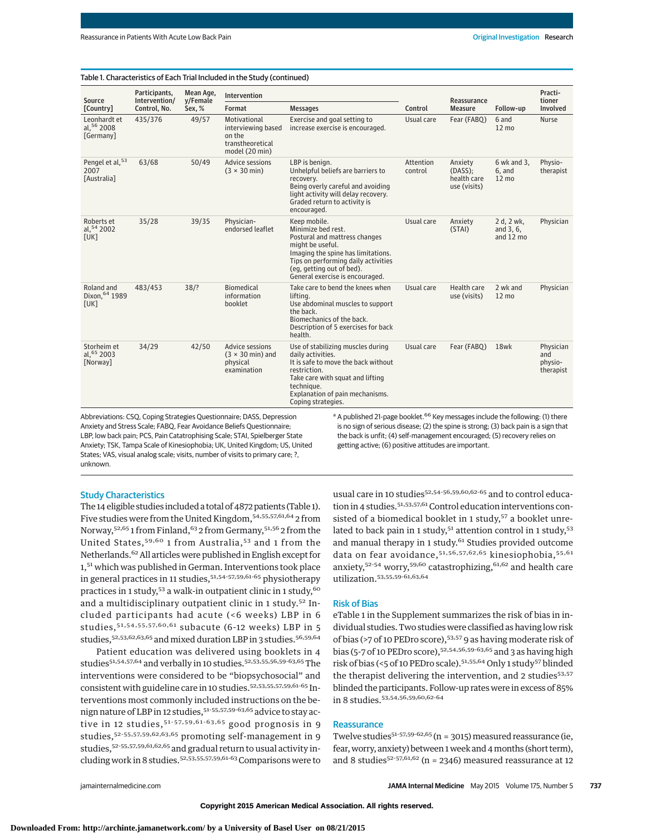| Source                                             | Participants,<br>Intervention/ | Mean Age,<br>y/Female | Intervention                                                                       |                                                                                                                                                                                                                                      | Reassurance          |                                                   | Practi-<br>tioner                        |                                          |  |
|----------------------------------------------------|--------------------------------|-----------------------|------------------------------------------------------------------------------------|--------------------------------------------------------------------------------------------------------------------------------------------------------------------------------------------------------------------------------------|----------------------|---------------------------------------------------|------------------------------------------|------------------------------------------|--|
| [Country]                                          | Control, No.                   | Sex, %                | Format                                                                             | <b>Messages</b>                                                                                                                                                                                                                      | Control              | <b>Measure</b>                                    | Follow-up                                | Involved                                 |  |
| Leonhardt et<br>al, 56 2008<br>[Germany]           | 435/376                        | 49/57                 | Motivational<br>interviewing based<br>on the<br>transtheoretical<br>model (20 min) | Exercise and goal setting to<br>increase exercise is encouraged.                                                                                                                                                                     | Usual care           | Fear (FABQ)                                       | 6 and<br>$12 \text{ mo}$                 | <b>Nurse</b>                             |  |
| Pengel et al, <sup>53</sup><br>2007<br>[Australia] | 63/68                          | 50/49                 | Advice sessions<br>$(3 \times 30 \text{ min})$                                     | LBP is benign.<br>Unhelpful beliefs are barriers to<br>recovery.<br>Being overly careful and avoiding<br>light activity will delay recovery.<br>Graded return to activity is<br>encouraged.                                          | Attention<br>control | Anxiety<br>(DASS):<br>health care<br>use (visits) | 6 wk and 3,<br>6, and<br>$12 \text{ mo}$ | Physio-<br>therapist                     |  |
| Roberts et<br>al, 54 2002<br>[UK]                  | 35/28                          | 39/35                 | Physician-<br>endorsed leaflet                                                     | Keep mobile.<br>Minimize bed rest.<br>Postural and mattress changes<br>might be useful.<br>Imaging the spine has limitations.<br>Tips on performing daily activities<br>(eq. getting out of bed).<br>General exercise is encouraged. | Usual care           | Anxiety<br>(STAI)                                 | 2 d, 2 wk,<br>and $3, 6$ ,<br>and 12 mo  | Physician                                |  |
| Roland and<br>Dixon, 64 1989<br>[UK]               | 483/453                        | 38/?                  | Biomedical<br>information<br>booklet                                               | Take care to bend the knees when<br>lifting.<br>Use abdominal muscles to support<br>the back.<br>Biomechanics of the back.<br>Description of 5 exercises for back<br>health.                                                         | Usual care           | Health care<br>use (visits)                       | 2 wk and<br>$12 \text{ mo}$              | Physician                                |  |
| Storheim et<br>al, 65 2003<br>[Norway]             | 34/29                          | 42/50                 | Advice sessions<br>$(3 \times 30 \text{ min})$ and<br>physical<br>examination      | Use of stabilizing muscles during<br>daily activities.<br>It is safe to move the back without<br>restriction.<br>Take care with squat and lifting<br>technique.<br>Explanation of pain mechanisms.<br>Coping strategies.             | Usual care           | Fear (FABQ)                                       | 18wk                                     | Physician<br>and<br>physio-<br>therapist |  |

Table 1. Characteristics of Each Trial Included in the Study (continued)

Abbreviations: CSQ, Coping Strategies Questionnaire; DASS, Depression Anxiety and Stress Scale; FABQ, Fear Avoidance Beliefs Questionnaire; LBP, low back pain; PCS, Pain Catatrophising Scale; STAI, Spielberger State Anxiety; TSK, Tampa Scale of Kinesiophobia; UK, United Kingdom; US, United States; VAS, visual analog scale; visits, number of visits to primary care; ?, unknown.

<sup>a</sup> A published 21-page booklet.<sup>66</sup> Key messages include the following: (1) there is no sign of serious disease; (2) the spine is strong; (3) back pain is a sign that the back is unfit; (4) self-management encouraged; (5) recovery relies on getting active; (6) positive attitudes are important.

#### Study Characteristics

The 14 eligible studies included a total of 4872 patients (Table 1). Five studies were from the United Kingdom, 54,55,57,61,64 2 from Norway,<sup>52,65</sup> 1 from Finland,  $63$  2 from Germany,  $51,56$  2 from the United States,<sup>59,60</sup> 1 from Australia,<sup>53</sup> and 1 from the Netherlands.62All articles were published in English except for 1,<sup>51</sup> which was published in German. Interventions took place in general practices in 11 studies,  $51,54-57,59,61-65$  physiotherapy practices in 1 study,<sup>53</sup> a walk-in outpatient clinic in 1 study,<sup>60</sup> and a multidisciplinary outpatient clinic in 1 study.<sup>52</sup> Included participants had acute (<6 weeks) LBP in 6 studies,51,54,55,57,60,61 subacute (6-12 weeks) LBP in 5 studies,52,53,62,63,65 and mixed duration LBP in 3 studies.56,59,64

Patient education was delivered using booklets in 4 studies<sup>51,54,57,64</sup> and verbally in 10 studies.<sup>52,53,55,56,59-63,65</sup> The interventions were considered to be "biopsychosocial" and consistent with guideline care in 10 studies.52,53,55,57,59,61-65 Interventions most commonly included instructions on the benign nature of LBP in 12 studies, 51-55,57,59-63,65 advice to stay active in 12 studies,51-57,59,61-63,65 good prognosis in 9 studies,52-55,57,59,62,63,65 promoting self-management in 9 studies,<sup>52-55,57,59,61,62,65</sup> and gradual return to usual activity including work in 8 studies.<sup>52,53,55,57,59,61-63</sup> Comparisons were to

usual care in 10 studies<sup>52,54-56,59,60,62-65</sup> and to control education in 4 studies.<sup>51,53,57,61</sup> Control education interventions consisted of a biomedical booklet in 1 study,<sup>57</sup> a booklet unrelated to back pain in 1 study,  $51$  attention control in 1 study,  $53$ and manual therapy in 1 study. $61$  Studies provided outcome data on fear avoidance, 51,56,57,62,65 kinesiophobia, 55,61 anxiety,<sup>52-54</sup> worry,<sup>59,60</sup> catastrophizing,<sup>61,62</sup> and health care utilization.53,55,59-61,63,64

#### Risk of Bias

eTable 1 in the Supplement summarizes the risk of bias in individual studies. Two studies were classified as having low risk of bias (>7 of 10 PEDro score),53,57 9 as having moderate risk of bias (5-7 of 10 PEDro score),  $52,54,56,59-63,65$  and 3 as having high risk of bias (<5 of 10 PEDro scale).<sup>51,55,64</sup> Only 1 study<sup>57</sup> blinded the therapist delivering the intervention, and 2 studies $53,57$ blinded the participants. Follow-up rates were in excess of 85% in 8 studies.53,54,56,59,60,62-64

### **Reassurance**

Twelve studies<sup>51-57,59-62,65</sup> (n = 3015) measured reassurance (ie, fear, worry, anxiety) between 1 week and 4 months (short term), and 8 studies<sup>52-57,61,62</sup> (n = 2346) measured reassurance at 12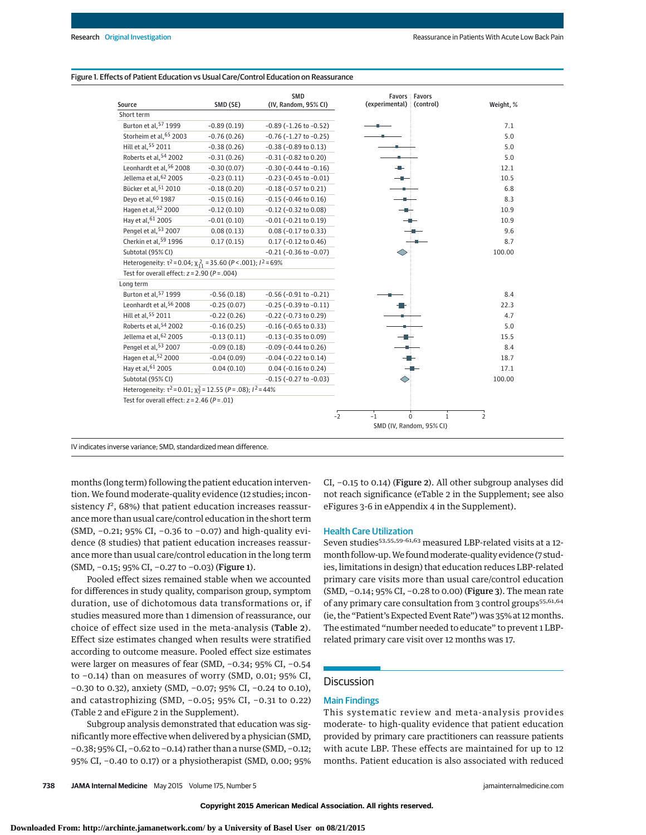|                                                                               |               | <b>SMD</b>                     | Favors : Favors                          |                |
|-------------------------------------------------------------------------------|---------------|--------------------------------|------------------------------------------|----------------|
| Source                                                                        | SMD (SE)      | (IV, Random, 95% CI)           | (experimental) (control)                 | Weight, %      |
| Short term                                                                    |               |                                |                                          |                |
| Burton et al, 57 1999                                                         | $-0.89(0.19)$ | $-0.89$ ( $-1.26$ to $-0.52$ ) |                                          | 7.1            |
| Storheim et al, 65 2003                                                       | $-0.76(0.26)$ | $-0.76$ ( $-1.27$ to $-0.25$ ) |                                          | 5.0            |
| Hill et al, 55 2011                                                           | $-0.38(0.26)$ | $-0.38$ ( $-0.89$ to $0.13$ )  |                                          | 5.0            |
| Roberts et al, 54 2002                                                        | $-0.31(0.26)$ | $-0.31$ ( $-0.82$ to $0.20$ )  |                                          | 5.0            |
| Leonhardt et al, 56 2008                                                      | $-0.30(0.07)$ | $-0.30$ ( $-0.44$ to $-0.16$ ) |                                          | 12.1           |
| Jellema et al, 62 2005                                                        | $-0.23(0.11)$ | $-0.23$ ( $-0.45$ to $-0.01$ ) |                                          | 10.5           |
| Bücker et al, 51 2010                                                         | $-0.18(0.20)$ | $-0.18$ ( $-0.57$ to $0.21$ )  |                                          | 6.8            |
| Deyo et al, 60 1987                                                           | $-0.15(0.16)$ | $-0.15$ ( $-0.46$ to $0.16$ )  |                                          | 8.3            |
| Hagen et al, 52 2000                                                          | $-0.12(0.10)$ | $-0.12$ ( $-0.32$ to $0.08$ )  |                                          | 10.9           |
| Hay et al, 61 2005                                                            | $-0.01(0.10)$ | $-0.01$ ( $-0.21$ to $0.19$ )  |                                          | 10.9           |
| Pengel et al. <sup>53</sup> 2007                                              | 0.08(0.13)    | 0.08 (-0.17 to 0.33)           |                                          | 9.6            |
| Cherkin et al, 59 1996                                                        | 0.17(0.15)    | 0.17 (-0.12 to 0.46)           |                                          | 8.7            |
| Subtotal (95% CI)                                                             |               | $-0.21$ ( $-0.36$ to $-0.07$ ) |                                          | 100.00         |
| Heterogeneity: $\tau^2$ = 0.04; $\chi_{11}^2$ = 35.60 (P < .001); $I^2$ = 69% |               |                                |                                          |                |
| Test for overall effect: $z = 2.90$ ( $P = .004$ )                            |               |                                |                                          |                |
| Long term                                                                     |               |                                |                                          |                |
| Burton et al, 57 1999                                                         | $-0.56(0.18)$ | $-0.56$ ( $-0.91$ to $-0.21$ ) |                                          | 8.4            |
| Leonhardt et al, 56 2008                                                      | $-0.25(0.07)$ | $-0.25$ ( $-0.39$ to $-0.11$ ) |                                          | 22.3           |
| Hill et al, 55 2011                                                           | $-0.22(0.26)$ | $-0.22$ ( $-0.73$ to 0.29)     |                                          | 4.7            |
| Roberts et al, 54 2002                                                        | $-0.16(0.25)$ | $-0.16$ ( $-0.65$ to 0.33)     |                                          | 5.0            |
| Jellema et al, 62 2005                                                        | $-0.13(0.11)$ | $-0.13$ ( $-0.35$ to $0.09$ )  |                                          | 15.5           |
| Pengel et al, 53 2007                                                         | $-0.09(0.18)$ | $-0.09$ ( $-0.44$ to 0.26)     |                                          | 8.4            |
| Hagen et al, 52 2000                                                          | $-0.04(0.09)$ | $-0.04$ ( $-0.22$ to $0.14$ )  |                                          | 18.7           |
| Hay et al, 61 2005                                                            | 0.04(0.10)    | $0.04$ (-0.16 to 0.24)         |                                          | 17.1           |
| Subtotal (95% CI)                                                             |               | $-0.15$ ( $-0.27$ to $-0.03$ ) |                                          | 100.00         |
| Heterogeneity: $\tau^2$ = 0.01; $\chi^2$ = 12.55 (P = .08); $l^2$ = 44%       |               |                                |                                          |                |
| Test for overall effect: $z = 2.46$ ( $P = .01$ )                             |               |                                |                                          |                |
|                                                                               |               |                                | $-2$<br>$-1$<br>$\Omega$<br>$\mathbf{1}$ | $\overline{2}$ |
|                                                                               |               |                                | SMD (IV, Random, 95% CI)                 |                |

#### Figure 1. Effects of Patient Education vs Usual Care/Control Education on Reassurance

IV indicates inverse variance; SMD, standardized mean difference.

months (long term) following the patient education intervention. We found moderate-quality evidence (12 studies; inconsistency  $I^2$ , 68%) that patient education increases reassurance more than usual care/control education in the short term (SMD, −0.21; 95% CI, −0.36 to −0.07) and high-quality evidence (8 studies) that patient education increases reassurance more than usual care/control education in the long term (SMD, −0.15; 95% CI, −0.27 to −0.03) (Figure 1).

Pooled effect sizes remained stable when we accounted for differences in study quality, comparison group, symptom duration, use of dichotomous data transformations or, if studies measured more than 1 dimension of reassurance, our choice of effect size used in the meta-analysis (Table 2). Effect size estimates changed when results were stratified according to outcome measure. Pooled effect size estimates were larger on measures of fear (SMD, −0.34; 95% CI, −0.54 to −0.14) than on measures of worry (SMD, 0.01; 95% CI, −0.30 to 0.32), anxiety (SMD, −0.07; 95% CI, −0.24 to 0.10), and catastrophizing (SMD, −0.05; 95% CI, −0.31 to 0.22) (Table 2 and eFigure 2 in the Supplement).

Subgroup analysis demonstrated that education was significantly more effective when delivered by a physician (SMD, −0.38; 95% CI, −0.62 to −0.14) rather than a nurse (SMD, −0.12; 95% CI, −0.40 to 0.17) or a physiotherapist (SMD, 0.00; 95% CI, −0.15 to 0.14) (Figure 2). All other subgroup analyses did not reach significance (eTable 2 in the Supplement; see also eFigures 3-6 in eAppendix 4 in the Supplement).

#### Health Care Utilization

Seven studies<sup>53,55,59-61,63</sup> measured LBP-related visits at a 12month follow-up. We found moderate-quality evidence (7 studies, limitations in design) that education reduces LBP-related primary care visits more than usual care/control education (SMD, −0.14; 95% CI, −0.28 to 0.00) (Figure 3). The mean rate of any primary care consultation from 3 control groups<sup>55,61,64</sup> (ie, the "Patient's Expected Event Rate") was 35% at 12months. The estimated "number needed to educate" to prevent 1 LBPrelated primary care visit over 12 months was 17.

## **Discussion**

#### Main Findings

This systematic review and meta-analysis provides moderate- to high-quality evidence that patient education provided by primary care practitioners can reassure patients with acute LBP. These effects are maintained for up to 12 months. Patient education is also associated with reduced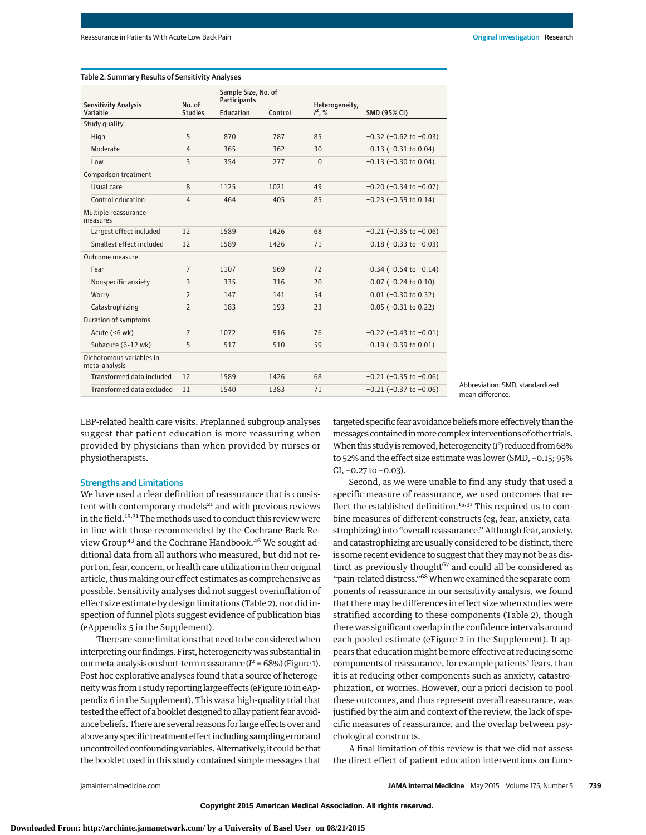#### Table 2. Summary Results of Sensitivity Analyses

| <b>Sensitivity Analysis</b>               | No. of         | Sample Size, No. of<br><b>Participants</b> |         | Heterogeneity, |                                |                                                    |
|-------------------------------------------|----------------|--------------------------------------------|---------|----------------|--------------------------------|----------------------------------------------------|
| Variable                                  | <b>Studies</b> | Education                                  | Control | $I^2, %$       | <b>SMD (95% CI)</b>            |                                                    |
| Study quality                             |                |                                            |         |                |                                |                                                    |
| High                                      | 5              | 870                                        | 787     | 85             | $-0.32$ ( $-0.62$ to $-0.03$ ) |                                                    |
| Moderate                                  | 4              | 365                                        | 362     | 30             | $-0.13$ ( $-0.31$ to 0.04)     |                                                    |
| Low                                       | 3              | 354                                        | 277     | $\mathbf{0}$   | $-0.13$ ( $-0.30$ to $0.04$ )  |                                                    |
| Comparison treatment                      |                |                                            |         |                |                                |                                                    |
| Usual care                                | 8              | 1125                                       | 1021    | 49             | $-0.20$ ( $-0.34$ to $-0.07$ ) |                                                    |
| Control education                         | $\overline{4}$ | 464                                        | 405     | 85             | $-0.23$ ( $-0.59$ to $0.14$ )  |                                                    |
| Multiple reassurance<br>measures          |                |                                            |         |                |                                |                                                    |
| Largest effect included                   | 12             | 1589                                       | 1426    | 68             | $-0.21$ ( $-0.35$ to $-0.06$ ) |                                                    |
| Smallest effect included                  | 12             | 1589                                       | 1426    | 71             | $-0.18$ ( $-0.33$ to $-0.03$ ) |                                                    |
| Outcome measure                           |                |                                            |         |                |                                |                                                    |
| Fear                                      | $\overline{7}$ | 1107                                       | 969     | 72             | $-0.34$ ( $-0.54$ to $-0.14$ ) |                                                    |
| Nonspecific anxiety                       | 3              | 335                                        | 316     | 20             | $-0.07$ ( $-0.24$ to $0.10$ )  |                                                    |
| Worry                                     | $\overline{2}$ | 147                                        | 141     | 54             | $0.01$ (-0.30 to 0.32)         |                                                    |
| Catastrophizing                           | $\overline{2}$ | 183                                        | 193     | 23             | $-0.05$ ( $-0.31$ to 0.22)     |                                                    |
| Duration of symptoms                      |                |                                            |         |                |                                |                                                    |
| Acute (<6 wk)                             | $\overline{7}$ | 1072                                       | 916     | 76             | $-0.22$ ( $-0.43$ to $-0.01$ ) |                                                    |
| Subacute (6-12 wk)                        | 5              | 517                                        | 510     | 59             | $-0.19$ ( $-0.39$ to $0.01$ )  |                                                    |
| Dichotomous variables in<br>meta-analysis |                |                                            |         |                |                                |                                                    |
| Transformed data included                 | 12             | 1589                                       | 1426    | 68             | $-0.21$ ( $-0.35$ to $-0.06$ ) |                                                    |
| Transformed data excluded                 | 11             | 1540                                       | 1383    | 71             | $-0.21$ ( $-0.37$ to $-0.06$ ) | Abbreviation: SMD, standardized<br>mean difference |

LBP-related health care visits. Preplanned subgroup analyses suggest that patient education is more reassuring when provided by physicians than when provided by nurses or physiotherapists.

#### Strengths and Limitations

We have used a clear definition of reassurance that is consistent with contemporary models $^{21}$  and with previous reviews in the field.<sup>15,31</sup> The methods used to conduct this review were in line with those recommended by the Cochrane Back Review Group<sup>43</sup> and the Cochrane Handbook.<sup>46</sup> We sought additional data from all authors who measured, but did not report on, fear, concern, or health care utilization in their original article, thus making our effect estimates as comprehensive as possible. Sensitivity analyses did not suggest overinflation of effect size estimate by design limitations (Table 2), nor did inspection of funnel plots suggest evidence of publication bias (eAppendix 5 in the Supplement).

There are some limitations that need to be consideredwhen interpreting our findings. First, heterogeneitywas substantial in our meta-analysis on short-term reassurance  $(I^2 = 68%)$  (Figure 1). Post hoc explorative analyses found that a source of heterogeneitywas from 1 study reporting large effects (eFigure 10 in eAppendix 6 in the Supplement). This was a high-quality trial that tested the effect of a booklet designed to allay patient fear avoidance beliefs. There are several reasons for large effects over and above any specific treatment effect including sampling error and uncontrolled confounding variables. Alternatively, it could be that the booklet used in this study contained simple messages that targeted specific fear avoidance beliefsmore effectively than the messages contained in more complex interventions of other trials. When this study is removed, heterogeneity (I<sup>2</sup>) reduced from 68% to 52% and the effect size estimate was lower (SMD, −0.15; 95% CI, −0.27 to −0.03).

Second, as we were unable to find any study that used a specific measure of reassurance, we used outcomes that reflect the established definition.<sup>15,31</sup> This required us to combine measures of different constructs (eg, fear, anxiety, catastrophizing) into "overall reassurance." Although fear, anxiety, and catastrophizing are usually considered to be distinct, there is some recent evidence to suggest that they may not be as distinct as previously thought<sup>67</sup> and could all be considered as "pain-related distress."<sup>68</sup> When we examined the separate components of reassurance in our sensitivity analysis, we found that there may be differences in effect size when studies were stratified according to these components (Table 2), though therewas significant overlap in the confidence intervals around each pooled estimate (eFigure 2 in the Supplement). It appears that education might be more effective at reducing some components of reassurance, for example patients' fears, than it is at reducing other components such as anxiety, catastrophization, or worries. However, our a priori decision to pool these outcomes, and thus represent overall reassurance, was justified by the aim and context of the review, the lack of specific measures of reassurance, and the overlap between psychological constructs.

A final limitation of this review is that we did not assess the direct effect of patient education interventions on func-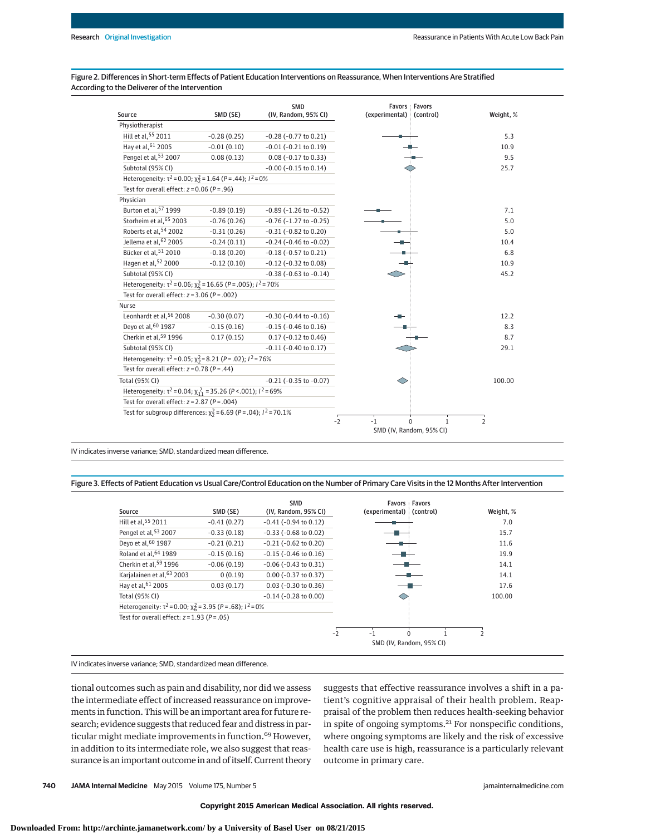#### Favors Favors (experimental)  $-2$   $-1$  0 1 2 SMD (IV, Random, 95% CI) –1 Weight, % Source SMD (SE) (control) (IV, Random, 95% CI) Physiotherapist SMD Hill et al, –0.28 (0.25) 5.3 55 2011 –0.28 (–0.77 to 0.21) Hay et al,  ${}^{61}$  2005  $-0.01$  (0.10)  $-0.01$  (-0.21 to 0.19)  $-$ Pengel et al, <sup>53</sup> 2007 0.08 (0.13) 0.08 (-0.17 to 0.33) **10.08**  $\rightarrow$  **10.08**  $\rightarrow$  **10.08 10.08 10.08 10.08 10.08 10.08 10.08 10.08 10.08 10.08 10.08 10.08 10.08 10.08 10.09 10.09 10.09 1** Heterogeneity:  $\tau^2 = 0.00$ ;  $\chi_2^2 = 1.64$  (*P* = .44);  $l^2 = 0\%$ Subtotal (95% CI) 25.7 –0.00 (–0.15 to 0.14) Test for overall effect:  $z = 0.06$  ( $P = .96$ ) Physician Burton et al,  $57 \, 1999$   $-0.89 \, (0.19)$   $-0.89 \, (-1.26 \text{ to } -0.52)$   $-$ Storheim et al, <sup>65</sup> 2003 - 0.76 (0.26) - 0.76 (-1.27 to -0.25) - - - - - - - 5.0 Roberts et al, –0.31 (0.26) 5.0 54 2002 –0.31 (–0.82 to 0.20) Jellema et al,  $^{62}$  2005  $-0.24$  (0.11)  $-0.24$  (-0.46 to -0.02)  $-$ Bücker et al,  $51\,2010$   $-0.18\,(0.20)$   $-0.18\,(-0.57 \text{ to } 0.21)$   $-$ Hagen et al,  $52\,2000$   $-0.12\,(0.10)$   $-0.12\,(-0.32\text{ to } 0.08)$   $-$ Heterogeneity: τ<sup>2</sup> = 0.06;  $\chi^2$  = 16.65 (*P* = .005);  $l^2$  = 70% Subtotal (95% CI) -0.38 (-0.63 to -0.14) 45.2 –0.38 (–0.63 to –0.14) Test for overall effect: z =3.06 (*P* =.002) Nurse Leonhardt et al, <sup>56</sup> 2008 -0.30 (0.07) -0.30 (-0.44 to -0.16) -12.2 Deyo et al, <sup>60</sup> 1987  $-0.15(0.16)$   $-0.15(-0.46 \text{ to } 0.16)$   $-0.16$   $+0.16$  8.3 Cherkin et al, <sup>59</sup> 1996 0.17 (0.15) 0.17 (-0.12 to 0.46)  $\qquad \qquad$  **1.1** Heterogeneity:  $\tau^2$  = 0.05;  $\chi^2$  = 8.21 (*P* = .02);  $l^2$  = 76% Subtotal (95% CI) 29.1 –0.11 (–0.40 to 0.17) Test for subgroup differences:  $\chi^2$  = 6.69 (*P* = .04);  $I^2$  = 70.1% Test for overall effect: z =0.78 (*P* =.44) Heterogeneity:  $\tau^2$  = 0.04;  $\chi_{11}^2$  = 35.26 (*P* <.001);  $l^2$  = 69% Total (95% CI) 100.00 –0.21 (–0.35 to –0.07) Test for overall effect: z =2.87 (*P* =.004)

Figure 2. Differences in Short-term Effects of Patient Education Interventions on Reassurance, When Interventions Are Stratified According to the Deliverer of the Intervention

IV indicates inverse variance; SMD, standardized mean difference.

Figure 3. Effects of Patient Education vs Usual Care/Control Education on the Number of Primary Care Visits in the 12 Months After Intervention

| Source                                                                | SMD (SE)      | <b>SMD</b><br>(IV, Random, 95% CI) |      |      | <b>Favors : Favors</b><br>(experimental) { (control) |                          | Weight, % |
|-----------------------------------------------------------------------|---------------|------------------------------------|------|------|------------------------------------------------------|--------------------------|-----------|
|                                                                       |               |                                    |      |      |                                                      |                          |           |
| Hill et al, 55 2011                                                   | $-0.41(0.27)$ | $-0.41$ ( $-0.94$ to $0.12$ )      |      |      |                                                      |                          | 7.0       |
| Pengel et al, 53 2007                                                 | $-0.33(0.18)$ | $-0.33$ ( $-0.68$ to $0.02$ )      |      |      |                                                      |                          | 15.7      |
| Deyo et al, <sup>60</sup> 1987                                        | $-0.21(0.21)$ | $-0.21$ ( $-0.62$ to $0.20$ )      |      |      |                                                      |                          | 11.6      |
| Roland et al. <sup>64</sup> 1989                                      | $-0.15(0.16)$ | $-0.15$ ( $-0.46$ to $0.16$ )      |      |      |                                                      |                          | 19.9      |
| Cherkin et al, 59 1996                                                | $-0.06(0.19)$ | $-0.06$ ( $-0.43$ to $0.31$ )      |      |      |                                                      |                          | 14.1      |
| Karjalainen et al, 63 2003                                            | 0(0.19)       | 0.00 (-0.37 to 0.37)               |      |      |                                                      |                          | 14.1      |
| Hay et al, <sup>61</sup> 2005                                         | 0.03(0.17)    | $0.03$ (-0.30 to 0.36)             |      |      |                                                      |                          | 17.6      |
| Total (95% CI)                                                        |               | $-0.14$ ( $-0.28$ to $0.00$ )      |      |      |                                                      |                          | 100.00    |
| Heterogeneity: $\tau^2$ = 0.00; $\chi^2$ = 3.95 (P = .68); $l^2$ = 0% |               |                                    |      |      |                                                      |                          |           |
| Test for overall effect: $z = 1.93$ ( $P = .05$ )                     |               |                                    |      |      |                                                      |                          |           |
|                                                                       |               |                                    | $-2$ | $-1$ | $\Omega$                                             |                          |           |
|                                                                       |               |                                    |      |      |                                                      | SMD (IV, Random, 95% CI) |           |

#### IV indicates inverse variance; SMD, standardized mean difference.

tional outcomes such as pain and disability, nor did we assess the intermediate effect of increased reassurance on improvements in function. This will be an important area for future research; evidence suggests that reduced fear and distress in particular might mediate improvements in function.<sup>69</sup> However, in addition to its intermediate role, we also suggest that reassurance is an important outcome in and of itself. Current theory

suggests that effective reassurance involves a shift in a patient's cognitive appraisal of their health problem. Reappraisal of the problem then reduces health-seeking behavior in spite of ongoing symptoms.<sup>21</sup> For nonspecific conditions, where ongoing symptoms are likely and the risk of excessive health care use is high, reassurance is a particularly relevant outcome in primary care.

**740 JAMA Internal Medicine** May 2015 Volume 175, Number 5 **(Reprinted)** jamainternalmedicine.com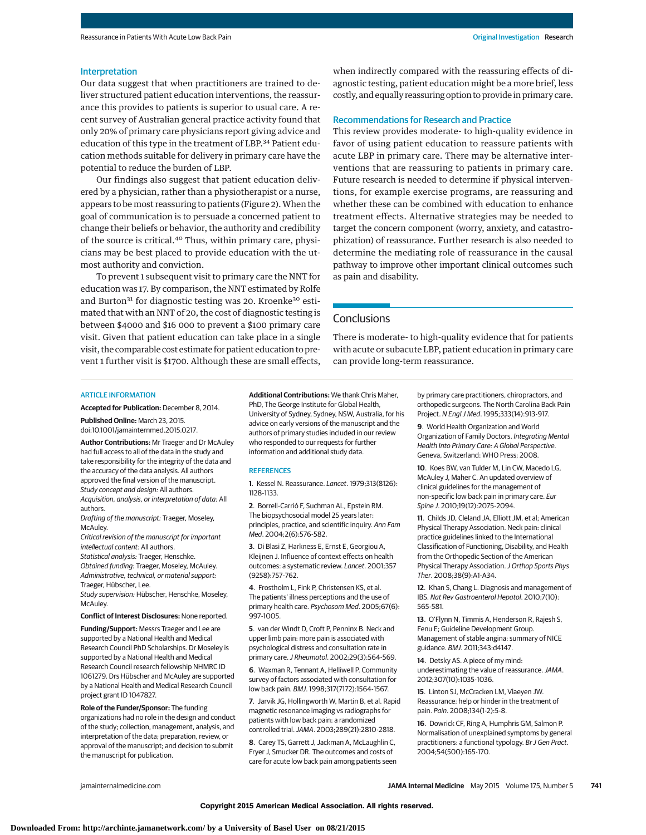#### Interpretation

Our data suggest that when practitioners are trained to deliver structured patient education interventions, the reassurance this provides to patients is superior to usual care. A recent survey of Australian general practice activity found that only 20% of primary care physicians report giving advice and education of this type in the treatment of LBP.<sup>34</sup> Patient education methods suitable for delivery in primary care have the potential to reduce the burden of LBP.

Our findings also suggest that patient education delivered by a physician, rather than a physiotherapist or a nurse, appears to be most reassuring to patients (Figure 2). When the goal of communication is to persuade a concerned patient to change their beliefs or behavior, the authority and credibility of the source is critical.<sup>40</sup> Thus, within primary care, physicians may be best placed to provide education with the utmost authority and conviction.

To prevent 1 subsequent visit to primary care the NNT for education was 17. By comparison, the NNT estimated by Rolfe and Burton<sup>31</sup> for diagnostic testing was 20. Kroenke<sup>30</sup> estimated that with an NNT of 20, the cost of diagnostic testing is between \$4000 and \$16 000 to prevent a \$100 primary care visit. Given that patient education can take place in a single visit, the comparable cost estimate for patient education to prevent 1 further visit is \$1700. Although these are small effects,

when indirectly compared with the reassuring effects of diagnostic testing, patient education might be a more brief, less costly, and equally reassuring option to provide in primary care.

#### Recommendations for Research and Practice

This review provides moderate- to high-quality evidence in favor of using patient education to reassure patients with acute LBP in primary care. There may be alternative interventions that are reassuring to patients in primary care. Future research is needed to determine if physical interventions, for example exercise programs, are reassuring and whether these can be combined with education to enhance treatment effects. Alternative strategies may be needed to target the concern component (worry, anxiety, and catastrophization) of reassurance. Further research is also needed to determine the mediating role of reassurance in the causal pathway to improve other important clinical outcomes such as pain and disability.

## **Conclusions**

There is moderate- to high-quality evidence that for patients with acute or subacute LBP, patient education in primary care can provide long-term reassurance.

#### ARTICLE INFORMATION

**Accepted for Publication:** December 8, 2014. **Published Online:** March 23, 2015. doi:10.1001/jamainternmed.2015.0217.

**Author Contributions:** Mr Traeger and Dr McAuley had full access to all of the data in the study and take responsibility for the integrity of the data and the accuracy of the data analysis. All authors approved the final version of the manuscript. Study concept and design: All authors. Acquisition, analysis, or interpretation of data: All

authors. Drafting of the manuscript: Traeger, Moseley,

McAuley.

Critical revision of the manuscript for important intellectual content: All authors.

Statistical analysis: Traeger, Henschke.

Obtained funding: Traeger, Moseley, McAuley. Administrative, technical, or material support:

Traeger, Hübscher, Lee.

Study supervision: Hübscher, Henschke, Moseley, McAuley.

**Conflict of Interest Disclosures:** None reported.

**Funding/Support:** Messrs Traeger and Lee are supported by a National Health and Medical Research Council PhD Scholarships. Dr Moseley is supported by a National Health and Medical Research Council research fellowship NHMRC ID 1061279. Drs Hübscher and McAuley are supported by a National Health and Medical Research Council project grant ID 1047827.

**Role of the Funder/Sponsor:** The funding organizations had no role in the design and conduct of the study; collection, management, analysis, and interpretation of the data; preparation, review, or approval of the manuscript; and decision to submit the manuscript for publication.

**Additional Contributions:** We thank Chris Maher, PhD, The George Institute for Global Health, University of Sydney, Sydney, NSW, Australia, for his advice on early versions of the manuscript and the authors of primary studies included in our review who responded to our requests for further information and additional study data.

#### **REFERENCES**

**1**. Kessel N. Reassurance. Lancet. 1979;313(8126): 1128-1133.

**2**. Borrell-Carrió F, Suchman AL, Epstein RM. The biopsychosocial model 25 years later: principles, practice, and scientific inquiry. Ann Fam Med. 2004;2(6):576-582.

**3**. Di Blasi Z, Harkness E, Ernst E, Georgiou A, Kleijnen J. Influence of context effects on health outcomes: a systematic review. Lancet. 2001;357 (9258):757-762.

**4**. Frostholm L, Fink P, Christensen KS, et al. The patients' illness perceptions and the use of primary health care. Psychosom Med. 2005;67(6): 997-1005.

**5**. van der Windt D, Croft P, Penninx B. Neck and upper limb pain: more pain is associated with psychological distress and consultation rate in primary care.J Rheumatol. 2002;29(3):564-569.

**6**. Waxman R, Tennant A, Helliwell P. Community survey of factors associated with consultation for low back pain. BMJ. 1998;317(7172):1564-1567.

**7**. Jarvik JG, Hollingworth W, Martin B, et al. Rapid magnetic resonance imaging vs radiographs for patients with low back pain: a randomized controlled trial. JAMA. 2003;289(21):2810-2818.

**8**. Carey TS, Garrett J, Jackman A, McLaughlin C, Fryer J, Smucker DR. The outcomes and costs of care for acute low back pain among patients seen by primary care practitioners, chiropractors, and orthopedic surgeons. The North Carolina Back Pain Project. N Engl J Med. 1995;333(14):913-917.

**9**. World Health Organization and World Organization of Family Doctors. Integrating Mental Health Into Primary Care: A Global Perspective. Geneva, Switzerland: WHO Press; 2008.

**10**. Koes BW, van Tulder M, Lin CW, Macedo LG, McAuley J, Maher C. An updated overview of clinical guidelines for the management of non-specific low back pain in primary care. Eur Spine J. 2010;19(12):2075-2094.

**11**. Childs JD, Cleland JA, Elliott JM, et al; American Physical Therapy Association. Neck pain: clinical practice guidelines linked to the International Classification of Functioning, Disability, and Health from the Orthopedic Section of the American Physical Therapy Association. J Orthop Sports Phys Ther. 2008;38(9):A1-A34.

**12**. Khan S, Chang L. Diagnosis and management of IBS. Nat Rev Gastroenterol Hepatol. 2010;7(10): 565-581.

**13**. O'Flynn N, Timmis A, Henderson R, Rajesh S, Fenu E; Guideline Development Group. Management of stable angina: summary of NICE guidance. BMJ. 2011;343:d4147.

**14**. Detsky AS. A piece of my mind: underestimating the value of reassurance. JAMA. 2012;307(10):1035-1036.

**15**. Linton SJ, McCracken LM, Vlaeyen JW. Reassurance: help or hinder in the treatment of pain. Pain. 2008;134(1-2):5-8.

**16**. Dowrick CF, Ring A, Humphris GM, Salmon P. Normalisation of unexplained symptoms by general practitioners: a functional typology. Br J Gen Pract. 2004;54(500):165-170.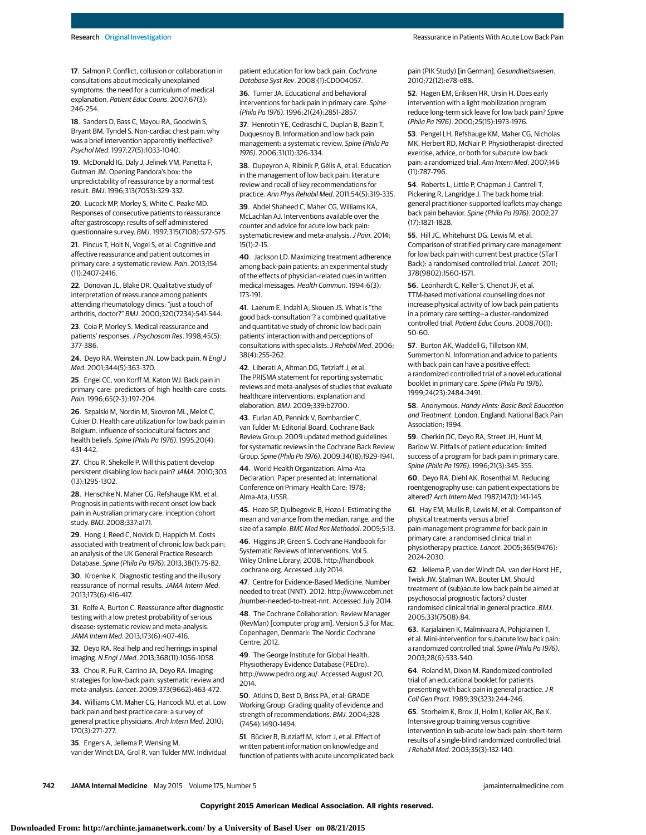**17**. Salmon P. Conflict, collusion or collaboration in consultations about medically unexplained symptoms: the need for a curriculum of medical explanation. Patient Educ Couns. 2007;67(3): 246-254.

**18**. Sanders D, Bass C, Mayou RA, Goodwin S, Bryant BM, Tyndel S. Non-cardiac chest pain: why was a brief intervention apparently ineffective? Psychol Med. 1997;27(5):1033-1040.

**19**. McDonald IG, Daly J, Jelinek VM, Panetta F, Gutman JM. Opening Pandora's box: the unpredictability of reassurance by a normal test result. BMJ. 1996;313(7053):329-332.

**20**. Lucock MP, Morley S, White C, Peake MD. Responses of consecutive patients to reassurance after gastroscopy: results of self administered questionnaire survey. BMJ. 1997;315(7108):572-575.

**21**. Pincus T, Holt N, Vogel S, et al. Cognitive and affective reassurance and patient outcomes in primary care: a systematic review. Pain. 2013;154 (11):2407-2416.

**22**. Donovan JL, Blake DR. Qualitative study of interpretation of reassurance among patients attending rheumatology clinics: "just a touch of arthritis, doctor?" BMJ. 2000;320(7234):541-544.

**23**. Coia P, Morley S. Medical reassurance and patients' responses. J Psychosom Res. 1998;45(5): 377-386.

24. Deyo RA, Weinstein JN. Low back pain. N Engl J Med. 2001;344(5):363-370.

**25**. Engel CC, von Korff M, Katon WJ. Back pain in primary care: predictors of high health-care costs. Pain. 1996;65(2-3):197-204.

**26**. Szpalski M, Nordin M, Skovron ML, Melot C, Cukier D. Health care utilization for low back pain in Belgium. Influence of sociocultural factors and health beliefs. Spine (Phila Pa 1976). 1995;20(4): 431-442.

**27**. Chou R, Shekelle P. Will this patient develop persistent disabling low back pain? JAMA. 2010;303 (13):1295-1302.

**28**. Henschke N, Maher CG, Refshauge KM, et al. Prognosis in patients with recent onset low back pain in Australian primary care: inception cohort study. BMJ. 2008;337:a171.

**29**. Hong J, Reed C, Novick D, Happich M. Costs associated with treatment of chronic low back pain: an analysis of the UK General Practice Research Database. Spine (Phila Pa 1976). 2013;38(1):75-82.

**30**. Kroenke K. Diagnostic testing and the illusory reassurance of normal results. JAMA Intern Med. 2013;173(6):416-417.

**31**. Rolfe A, Burton C. Reassurance after diagnostic testing with a low pretest probability of serious disease: systematic review and meta-analysis. JAMA Intern Med. 2013;173(6):407-416.

**32**. Deyo RA. Real help and red herrings in spinal imaging. N Engl J Med. 2013;368(11):1056-1058.

**33**. Chou R, Fu R, Carrino JA, Deyo RA. Imaging strategies for low-back pain: systematic review and meta-analysis. Lancet. 2009;373(9662):463-472.

**34**. Williams CM, Maher CG, Hancock MJ, et al. Low back pain and best practice care: a survey of general practice physicians. Arch Intern Med. 2010; 170(3):271-277.

**35**. Engers A, Jellema P, Wensing M, van der Windt DA, Grol R, van Tulder MW. Individual patient education for low back pain. Cochrane Database Syst Rev. 2008;(1):CD004057.

**36**. Turner JA. Educational and behavioral interventions for back pain in primary care. Spine (Phila Pa 1976). 1996;21(24):2851-2857.

**37**. Henrotin YE, Cedraschi C, Duplan B, Bazin T, Duquesnoy B. Information and low back pain management: a systematic review. Spine (Phila Pa 1976). 2006;31(11):326-334.

**38**. Dupeyron A, Ribinik P, Gélis A, et al. Education in the management of low back pain: literature review and recall of key recommendations for practice. Ann Phys Rehabil Med. 2011;54(5):319-335.

**39**. Abdel Shaheed C, Maher CG, Williams KA, McLachlan AJ. Interventions available over the counter and advice for acute low back pain: systematic review and meta-analysis. J Pain. 2014; 15(1):2-15.

**40**. Jackson LD. Maximizing treatment adherence among back-pain patients: an experimental study of the effects of physician-related cues in written medical messages. Health Commun. 1994;6(3): 173-191.

**41**. Laerum E, Indahl A, Skouen JS. What is "the good back-consultation"? a combined qualitative and quantitative study of chronic low back pain patients' interaction with and perceptions of consultations with specialists.J Rehabil Med. 2006; 38(4):255-262.

**42**. Liberati A, Altman DG, Tetzlaff J, et al. The PRISMA statement for reporting systematic reviews and meta-analyses of studies that evaluate healthcare interventions: explanation and elaboration. BMJ. 2009;339:b2700.

**43**. Furlan AD, Pennick V, Bombardier C, van Tulder M; Editorial Board, Cochrane Back Review Group. 2009 updated method guidelines for systematic reviews in the Cochrane Back Review Group. Spine (Phila Pa 1976). 2009;34(18):1929-1941.

**44**. World Health Organization. Alma-Ata Declaration. Paper presented at: International Conference on Primary Health Care; 1978; Alma-Ata, USSR.

**45**. Hozo SP, Djulbegovic B, Hozo I. Estimating the mean and variance from the median, range, and the size of a sample. BMC Med Res Methodol. 2005;5:13.

**46**. Higgins JP, Green S. Cochrane Handbook for Systematic Reviews of Interventions. Vol 5. Wiley Online Library; 2008. http://handbook .cochrane.org. Accessed July 2014.

**47**. Centre for Evidence-Based Medicine. Number needed to treat (NNT). 2012. http://www.cebm.net /number-needed-to-treat-nnt. Accessed July 2014.

**48**. The Cochrane Collaboration. Review Manager (RevMan) [computer program]. Version 5.3 for Mac. Copenhagen, Denmark: The Nordic Cochrane Centre; 2012.

**49**. The George Institute for Global Health. Physiotherapy Evidence Database (PEDro). http://www.pedro.org.au/. Accessed August 20, 2014.

**50**. Atkins D, Best D, Briss PA, et al; GRADE Working Group. Grading quality of evidence and strength of recommendations. BMJ. 2004;328 (7454):1490-1494.

**51**. Bücker B, Butzlaff M, Isfort J, et al. Effect of written patient information on knowledge and function of patients with acute uncomplicated back pain (PIK Study) [in German]. Gesundheitswesen. 2010;72(12):e78-e88.

**52**. Hagen EM, Eriksen HR, Ursin H. Does early intervention with a light mobilization program reduce long-term sick leave for low back pain? Spine (Phila Pa 1976). 2000;25(15):1973-1976.

**53**. Pengel LH, Refshauge KM, Maher CG, Nicholas MK, Herbert RD, McNair P. Physiotherapist-directed exercise, advice, or both for subacute low back pain: a randomized trial. Ann Intern Med. 2007;146 (11):787-796.

**54**. Roberts L, Little P, Chapman J, Cantrell T, Pickering R, Langridge J. The back home trial: general practitioner-supported leaflets may change back pain behavior. Spine (Phila Pa 1976). 2002;27 (17):1821-1828.

**55**. Hill JC, Whitehurst DG, Lewis M, et al. Comparison of stratified primary care management for low back pain with current best practice (STarT Back): a randomised controlled trial. Lancet. 2011; 378(9802):1560-1571.

**56**. Leonhardt C, Keller S, Chenot JF, et al. TTM-based motivational counselling does not increase physical activity of low back pain patients in a primary care setting—a cluster-randomized controlled trial. Patient Educ Couns. 2008;70(1): 50-60.

**57**. Burton AK, Waddell G, Tillotson KM, Summerton N. Information and advice to patients with back pain can have a positive effect: a randomized controlled trial of a novel educational booklet in primary care. Spine (Phila Pa 1976). 1999;24(23):2484-2491.

**58**. Anonymous. Handy Hints: Basic Back Education and Treatment. London, England: National Back Pain Association; 1994.

**59**. Cherkin DC, Deyo RA, Street JH, Hunt M, Barlow W. Pitfalls of patient education: limited success of a program for back pain in primary care. Spine (Phila Pa 1976). 1996;21(3):345-355.

**60**. Deyo RA, Diehl AK, Rosenthal M. Reducing roentgenography use: can patient expectations be altered? Arch Intern Med. 1987;147(1):141-145.

**61**. Hay EM, Mullis R, Lewis M, et al. Comparison of physical treatments versus a brief pain-management programme for back pain in primary care: a randomised clinical trial in physiotherapy practice. Lancet. 2005;365(9476): 2024-2030.

**62**. Jellema P, van der Windt DA, van der Horst HE, Twisk JW, Stalman WA, Bouter LM. Should treatment of (sub)acute low back pain be aimed at psychosocial prognostic factors? cluster randomised clinical trial in general practice. BMJ. 2005;331(7508):84.

**63**. Karjalainen K, Malmivaara A, Pohjolainen T, et al. Mini-intervention for subacute low back pain: a randomized controlled trial. Spine (Phila Pa 1976). 2003;28(6):533-540.

**64**. Roland M, Dixon M. Randomized controlled trial of an educational booklet for patients presenting with back pain in general practice. JR Coll Gen Pract. 1989;39(323):244-246.

**65**. Storheim K, Brox JI, Holm I, Koller AK, Bø K. Intensive group training versus cognitive intervention in sub-acute low back pain: short-term results of a single-blind randomized controlled trial. J Rehabil Med. 2003;35(3):132-140.